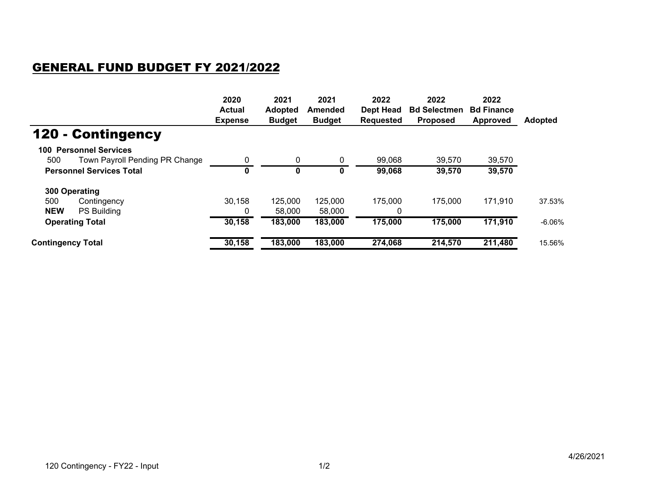## GENERAL FUND BUDGET FY 2021/2022

|                                       | 2020<br><b>Actual</b><br><b>Expense</b> | 2021<br><b>Adopted</b><br><b>Budget</b> | 2021<br>Amended<br><b>Budget</b> | 2022<br>Dept Head<br><b>Requested</b> | 2022<br><b>Bd Selectmen</b><br><b>Proposed</b> | 2022<br><b>Bd Finance</b><br><b>Approved</b> | <b>Adopted</b> |
|---------------------------------------|-----------------------------------------|-----------------------------------------|----------------------------------|---------------------------------------|------------------------------------------------|----------------------------------------------|----------------|
| <b>120 - Contingency</b>              |                                         |                                         |                                  |                                       |                                                |                                              |                |
| <b>100 Personnel Services</b>         |                                         |                                         |                                  |                                       |                                                |                                              |                |
| Town Payroll Pending PR Change<br>500 | 0                                       | 0                                       | 0                                | 99,068                                | 39,570                                         | 39,570                                       |                |
| <b>Personnel Services Total</b>       | 0                                       | 0                                       | 0                                | 99,068                                | 39,570                                         | 39,570                                       |                |
| 300 Operating                         |                                         |                                         |                                  |                                       |                                                |                                              |                |
| 500<br>Contingency                    | 30,158                                  | 125,000                                 | 125,000                          | 175,000                               | 175,000                                        | 171,910                                      | 37.53%         |
| <b>NEW</b><br>PS Building             | 0                                       | 58,000                                  | 58,000                           | 0                                     |                                                |                                              |                |
| <b>Operating Total</b>                | 30,158                                  | 183,000                                 | 183,000                          | 175,000                               | 175,000                                        | 171,910                                      | $-6.06%$       |
| <b>Contingency Total</b>              | 30,158                                  | 183,000                                 | 183,000                          | 274,068                               | 214,570                                        | 211,480                                      | 15.56%         |